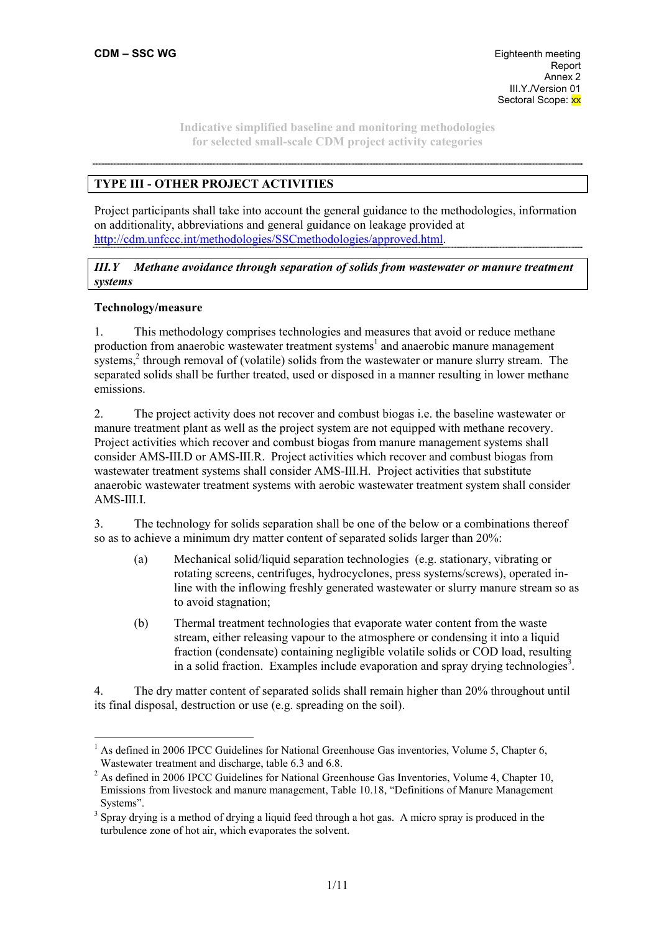## **TYPE III - OTHER PROJECT ACTIVITIES**

Project participants shall take into account the general guidance to the methodologies, information on additionality, abbreviations and general guidance on leakage provided at http://cdm.unfccc.int/methodologies/SSCmethodologies/approved.html.

## *III.Y Methane avoidance through separation of solids from wastewater or manure treatment systems*

## **Technology/measure**

1. This methodology comprises technologies and measures that avoid or reduce methane production from anaerobic wastewater treatment systems<sup>1</sup> and anaerobic manure management systems, $<sup>2</sup>$  through removal of (volatile) solids from the wastewater or manure slurry stream. The</sup> separated solids shall be further treated, used or disposed in a manner resulting in lower methane emissions.

2. The project activity does not recover and combust biogas i.e. the baseline wastewater or manure treatment plant as well as the project system are not equipped with methane recovery. Project activities which recover and combust biogas from manure management systems shall consider AMS-III.D or AMS-III.R. Project activities which recover and combust biogas from wastewater treatment systems shall consider AMS-III.H. Project activities that substitute anaerobic wastewater treatment systems with aerobic wastewater treatment system shall consider AMS-III.I.

3. The technology for solids separation shall be one of the below or a combinations thereof so as to achieve a minimum dry matter content of separated solids larger than 20%:

- (a) Mechanical solid/liquid separation technologies (e.g. stationary, vibrating or rotating screens, centrifuges, hydrocyclones, press systems/screws), operated inline with the inflowing freshly generated wastewater or slurry manure stream so as to avoid stagnation;
- (b) Thermal treatment technologies that evaporate water content from the waste stream, either releasing vapour to the atmosphere or condensing it into a liquid fraction (condensate) containing negligible volatile solids or COD load, resulting in a solid fraction. Examples include evaporation and spray drying technologies<sup>3</sup>.

4. The dry matter content of separated solids shall remain higher than 20% throughout until its final disposal, destruction or use (e.g. spreading on the soil).

 <sup>1</sup> As defined in 2006 IPCC Guidelines for National Greenhouse Gas inventories, Volume 5, Chapter 6, Wastewater treatment and discharge, table 6.3 and 6.8.

 $2^2$  As defined in 2006 IPCC Guidelines for National Greenhouse Gas Inventories, Volume 4, Chapter 10, Emissions from livestock and manure management, Table 10.18, "Definitions of Manure Management Systems".

<sup>&</sup>lt;sup>3</sup> Spray drying is a method of drying a liquid feed through a hot gas. A micro spray is produced in the turbulence zone of hot air, which evaporates the solvent.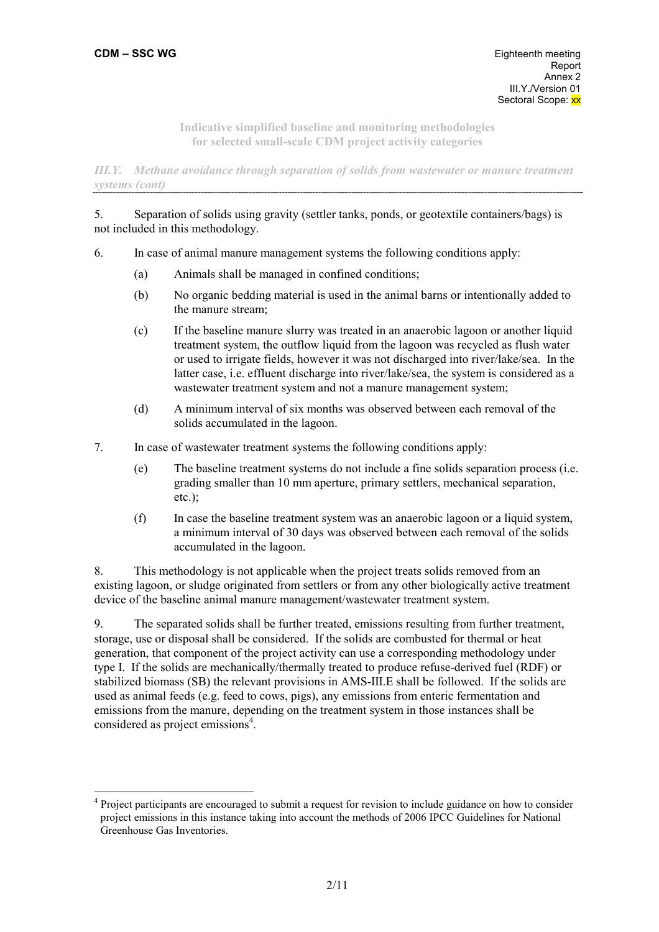$\overline{a}$ 

**Indicative simplified baseline and monitoring methodologies for selected small-scale CDM project activity categories** 

*III.Y. Methane avoidance through separation of solids from wastewater or manure treatment systems (cont)* 

## 5. Separation of solids using gravity (settler tanks, ponds, or geotextile containers/bags) is not included in this methodology.

- 6. In case of animal manure management systems the following conditions apply:
	- (a) Animals shall be managed in confined conditions;
	- (b) No organic bedding material is used in the animal barns or intentionally added to the manure stream;
	- (c) If the baseline manure slurry was treated in an anaerobic lagoon or another liquid treatment system, the outflow liquid from the lagoon was recycled as flush water or used to irrigate fields, however it was not discharged into river/lake/sea. In the latter case, i.e. effluent discharge into river/lake/sea, the system is considered as a wastewater treatment system and not a manure management system;
	- (d) A minimum interval of six months was observed between each removal of the solids accumulated in the lagoon.
- 7. In case of wastewater treatment systems the following conditions apply:
	- (e) The baseline treatment systems do not include a fine solids separation process (i.e. grading smaller than 10 mm aperture, primary settlers, mechanical separation,  $etc.$ );
	- (f) In case the baseline treatment system was an anaerobic lagoon or a liquid system, a minimum interval of 30 days was observed between each removal of the solids accumulated in the lagoon.

8. This methodology is not applicable when the project treats solids removed from an existing lagoon, or sludge originated from settlers or from any other biologically active treatment device of the baseline animal manure management/wastewater treatment system.

9. The separated solids shall be further treated, emissions resulting from further treatment, storage, use or disposal shall be considered. If the solids are combusted for thermal or heat generation, that component of the project activity can use a corresponding methodology under type I. If the solids are mechanically/thermally treated to produce refuse-derived fuel (RDF) or stabilized biomass (SB) the relevant provisions in AMS-III.E shall be followed. If the solids are used as animal feeds (e.g. feed to cows, pigs), any emissions from enteric fermentation and emissions from the manure, depending on the treatment system in those instances shall be considered as project emissions<sup>4</sup>.

<sup>&</sup>lt;sup>4</sup> Project participants are encouraged to submit a request for revision to include guidance on how to consider project emissions in this instance taking into account the methods of 2006 IPCC Guidelines for National Greenhouse Gas Inventories.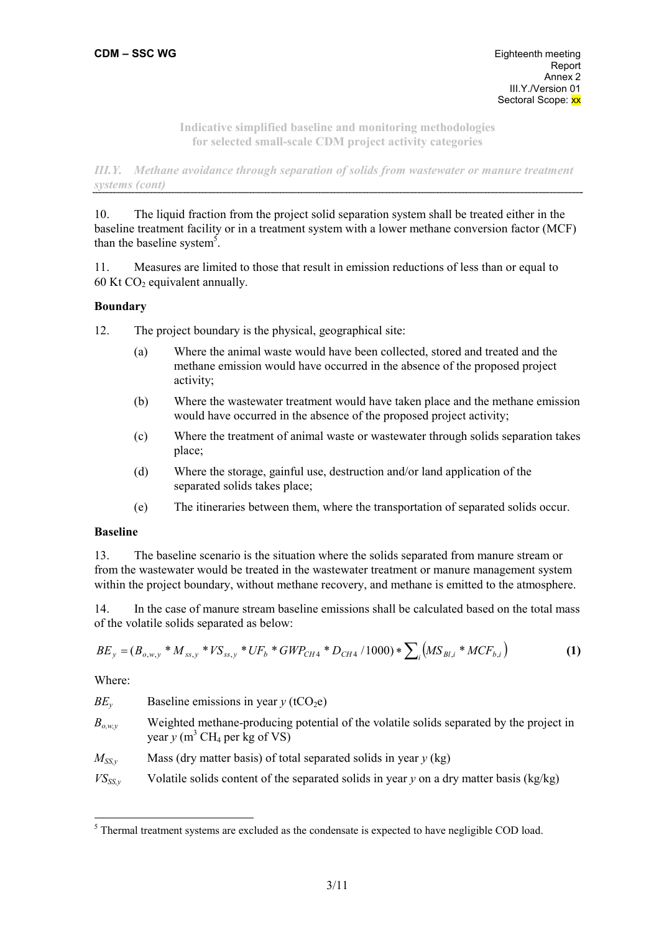*III.Y. Methane avoidance through separation of solids from wastewater or manure treatment systems (cont)* 

10. The liquid fraction from the project solid separation system shall be treated either in the baseline treatment facility or in a treatment system with a lower methane conversion factor (MCF) than the baseline system<sup>5</sup>.

11. Measures are limited to those that result in emission reductions of less than or equal to 60 Kt  $CO<sub>2</sub>$  equivalent annually.

## **Boundary**

12. The project boundary is the physical, geographical site:

- (a) Where the animal waste would have been collected, stored and treated and the methane emission would have occurred in the absence of the proposed project activity;
- (b) Where the wastewater treatment would have taken place and the methane emission would have occurred in the absence of the proposed project activity;
- (c) Where the treatment of animal waste or wastewater through solids separation takes place;
- (d) Where the storage, gainful use, destruction and/or land application of the separated solids takes place;
- (e) The itineraries between them, where the transportation of separated solids occur.

### **Baseline**

13. The baseline scenario is the situation where the solids separated from manure stream or from the wastewater would be treated in the wastewater treatment or manure management system within the project boundary, without methane recovery, and methane is emitted to the atmosphere.

14. In the case of manure stream baseline emissions shall be calculated based on the total mass of the volatile solids separated as below:

$$
BE_y = (B_{o,w,y} * M_{ss,y} * VS_{ss,y} * UF_b * GWP_{CH4} * D_{CH4} / 1000) * \sum_i (MS_{Bl,i} * MCF_{b,i})
$$
(1)

Where:

| $BE_{v}$ | Baseline emissions in year $y$ (tCO <sub>2</sub> e) |  |
|----------|-----------------------------------------------------|--|
|          |                                                     |  |

- $B_{\alpha wv}$  Weighted methane-producing potential of the volatile solids separated by the project in year  $y$  (m<sup>3</sup> CH<sub>4</sub> per kg of VS)
- $M_{SSy}$  Mass (dry matter basis) of total separated solids in year *y* (kg)
- $V\text{S}_{SSy}$  Volatile solids content of the separated solids in year *y* on a dry matter basis (kg/kg)

 $<sup>5</sup>$  Thermal treatment systems are excluded as the condensate is expected to have negligible COD load.</sup>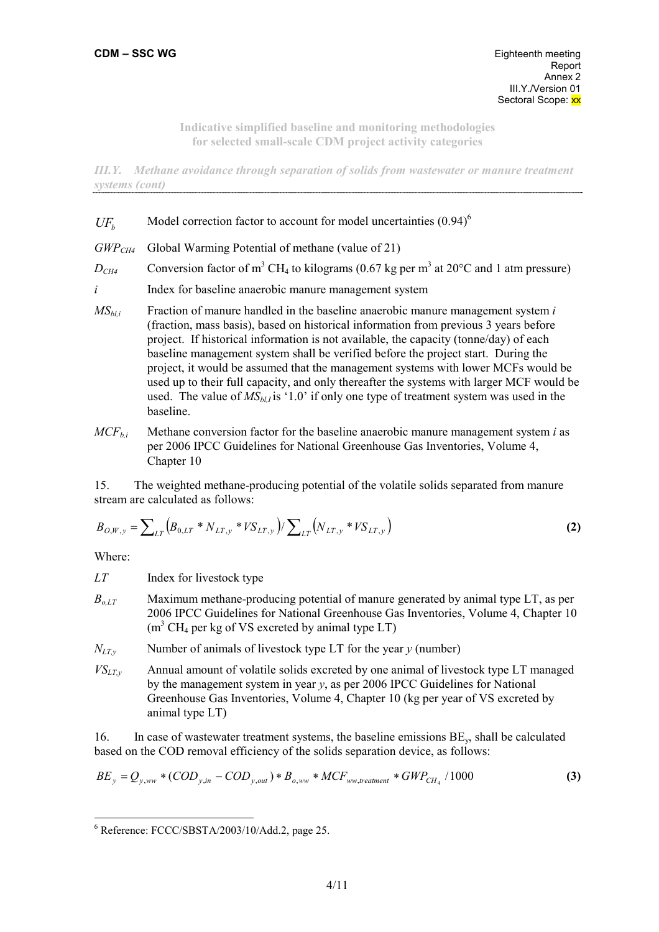*III.Y. Methane avoidance through separation of solids from wastewater or manure treatment systems (cont)* 

# $UF<sub>b</sub>$  Model correction factor to account for model uncertainties (0.94)<sup>6</sup>

- *GWPCH4* Global Warming Potential of methane (value of 21)
- $D_{CH4}$  Conversion factor of m<sup>3</sup> CH<sub>4</sub> to kilograms (0.67 kg per m<sup>3</sup> at 20°C and 1 atm pressure)
- *i* Index for baseline anaerobic manure management system
- *MSbl,i* Fraction of manure handled in the baseline anaerobic manure management system *i* (fraction, mass basis), based on historical information from previous 3 years before project. If historical information is not available, the capacity (tonne/day) of each baseline management system shall be verified before the project start. During the project, it would be assumed that the management systems with lower MCFs would be used up to their full capacity, and only thereafter the systems with larger MCF would be used. The value of  $MS<sub>bl,l</sub>$  is '1.0' if only one type of treatment system was used in the baseline.
- $MCF_{bi}$  Methane conversion factor for the baseline anaerobic manure management system *i* as per 2006 IPCC Guidelines for National Greenhouse Gas Inventories, Volume 4, Chapter 10

15. The weighted methane-producing potential of the volatile solids separated from manure stream are calculated as follows:

$$
B_{O,W,y} = \sum_{LT} \left( B_{0,LT} * N_{LT,y} * VS_{LT,y} \right) / \sum_{LT} \left( N_{LT,y} * VS_{LT,y} \right)
$$
 (2)

Where:

*LT* Index for livestock type

- *Bo,LT* Maximum methane-producing potential of manure generated by animal type LT, as per 2006 IPCC Guidelines for National Greenhouse Gas Inventories, Volume 4, Chapter 10  $(m<sup>3</sup> CH<sub>4</sub>$  per kg of VS excreted by animal type LT)
- $N_{UTv}$  Number of animals of livestock type LT for the year *y* (number)
- $VS_{LTv}$  Annual amount of volatile solids excreted by one animal of livestock type LT managed by the management system in year *y*, as per 2006 IPCC Guidelines for National Greenhouse Gas Inventories, Volume 4, Chapter 10 (kg per year of VS excreted by animal type LT)

16. In case of wastewater treatment systems, the baseline emissions  $BE<sub>v</sub>$ , shall be calculated based on the COD removal efficiency of the solids separation device, as follows:

$$
BE_{y} = Q_{y,ww} * (COD_{y,in} - COD_{y,out}) * B_{o,ww} * MCF_{ww, treatment} * GWP_{CH_4} / 1000
$$
 (3)

<sup>6</sup> Reference: FCCC/SBSTA/2003/10/Add.2, page 25.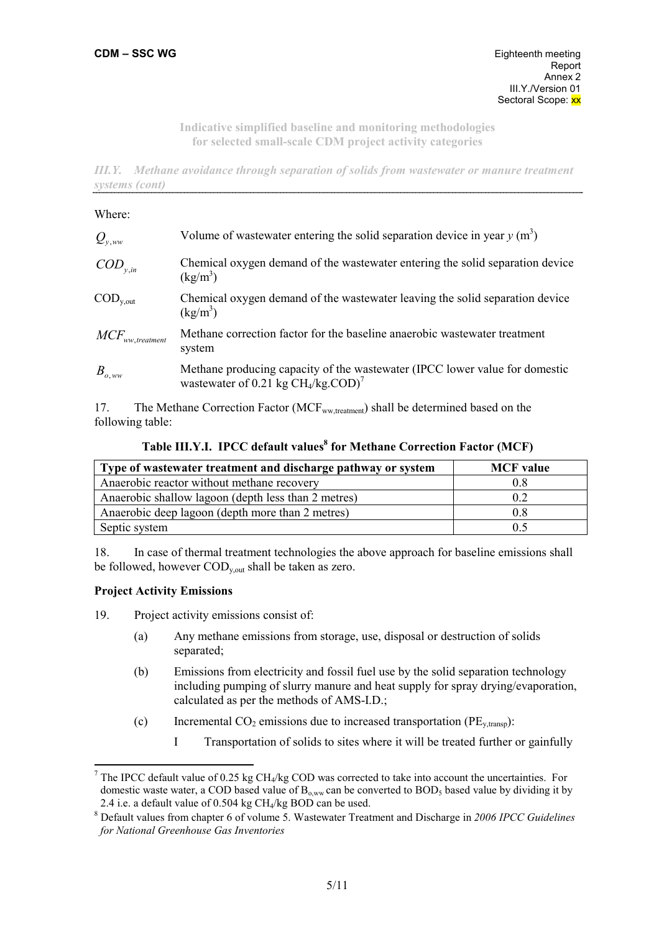*III.Y. Methane avoidance through separation of solids from wastewater or manure treatment systems (cont)* 

#### Where:

| $Q_{v,ww}$             | Volume of wastewater entering the solid separation device in year $y$ (m <sup>3</sup> )                                         |
|------------------------|---------------------------------------------------------------------------------------------------------------------------------|
| $\mathit{COD}_{v.in}$  | Chemical oxygen demand of the wastewater entering the solid separation device<br>$(kg/m^3)$                                     |
| $\mathrm{COD}_{v,out}$ | Chemical oxygen demand of the wastewater leaving the solid separation device<br>$(kg/m^3)$                                      |
| $MCF_{ww, treatment}$  | Methane correction factor for the baseline anaerobic wastewater treatment<br>system                                             |
| $B_{o,ww}$             | Methane producing capacity of the wastewater (IPCC lower value for domestic<br>wastewater of 0.21 kg $CH4/kg$ COD) <sup>7</sup> |

17. The Methane Correction Factor (MCF<sub>ww,treatment</sub>) shall be determined based on the following table:

**Table III.Y.I. IPCC default values<sup>8</sup> for Methane Correction Factor (MCF)** 

| Type of wastewater treatment and discharge pathway or system | <b>MCF</b> value |
|--------------------------------------------------------------|------------------|
| Anaerobic reactor without methane recovery                   | 0.8              |
| Anaerobic shallow lagoon (depth less than 2 metres)          | 0.2              |
| Anaerobic deep lagoon (depth more than 2 metres)             | 0.8              |
| Septic system                                                | 0.5              |

18. In case of thermal treatment technologies the above approach for baseline emissions shall be followed, however  $\text{COD}_{v,out}$  shall be taken as zero.

#### **Project Activity Emissions**

19. Project activity emissions consist of:

- (a) Any methane emissions from storage, use, disposal or destruction of solids separated;
- (b) Emissions from electricity and fossil fuel use by the solid separation technology including pumping of slurry manure and heat supply for spray drying/evaporation, calculated as per the methods of AMS-I.D.;
- (c) Incremental  $CO_2$  emissions due to increased transportation ( $PE_{v, transp}$ ):
	- I Transportation of solids to sites where it will be treated further or gainfully

<sup>&</sup>lt;sup>7</sup> The IPCC default value of 0.25 kg CH<sub>4</sub>/kg COD was corrected to take into account the uncertainties. For domestic waste water, a COD based value of  $B_{o,ww}$  can be converted to  $BOD<sub>5</sub>$  based value by dividing it by 2.4 i.e. a default value of  $0.504$  kg CH<sub>4</sub>/kg BOD can be used.

Default values from chapter 6 of volume 5. Wastewater Treatment and Discharge in *2006 IPCC Guidelines for National Greenhouse Gas Inventories*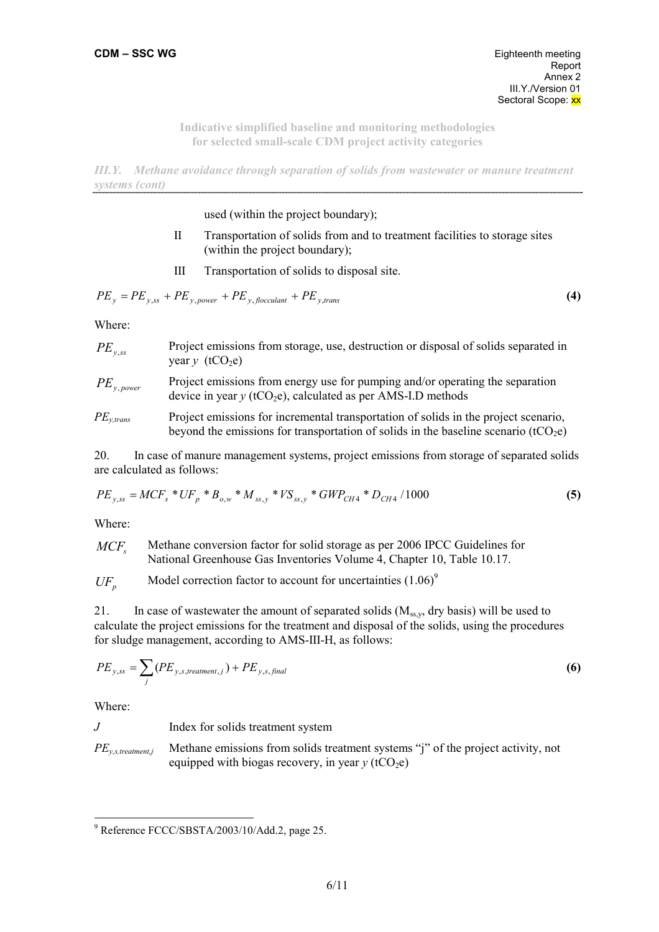*III.Y. Methane avoidance through separation of solids from wastewater or manure treatment systems (cont)* 

used (within the project boundary);

- II Transportation of solids from and to treatment facilities to storage sites (within the project boundary);
- III Transportation of solids to disposal site.

$$
PE_y = PE_{y,ss} + PE_{y,power} + PE_{y,flocculant} + PE_{y,trans}
$$
\n
$$
\tag{4}
$$

Where:

| $PE_{v,ss}$     | Project emissions from storage, use, destruction or disposal of solids separated in<br>year $y$ (tCO <sub>2</sub> e)                                        |
|-----------------|-------------------------------------------------------------------------------------------------------------------------------------------------------------|
| $PE_{v, power}$ | Project emissions from energy use for pumping and/or operating the separation<br>device in year $y$ (tCO <sub>2</sub> e), calculated as per AMS-I.D methods |

*PE<sub>y,trans</sub>* Project emissions for incremental transportation of solids in the project scenario, beyond the emissions for transportation of solids in the baseline scenario (tCO<sub>2</sub>e)

20. In case of manure management systems, project emissions from storage of separated solids are calculated as follows:

$$
PE_{y,ss} = MCF_s * UF_p * B_{o,w} * M_{ss,y} * VS_{ss,y} * GWP_{CH4} * D_{CH4} / 1000
$$
\n
$$
\tag{5}
$$

Where:

MCF<sub>s</sub> Methane conversion factor for solid storage as per 2006 IPCC Guidelines for National Greenhouse Gas Inventories Volume 4, Chapter 10, Table 10.17.

 $UF<sub>p</sub>$  Model correction factor to account for uncertainties (1.06)<sup>9</sup>

21. In case of wastewater the amount of separated solids  $(M_{ssy}$ , dry basis) will be used to calculate the project emissions for the treatment and disposal of the solids, using the procedures for sludge management, according to AMS-III-H, as follows:

$$
PE_{y,ss} = \sum_{j} (PE_{y,s, treatment,j}) + PE_{y,s,final}
$$
 (6)

Where:

*J* Index for solids treatment system

*PE<sub>y,s,treatment,j* Methane emissions from solids treatment systems "j" of the project activity, not</sub> equipped with biogas recovery, in year  $y$  (tCO<sub>2</sub>e)

<sup>9</sup> Reference FCCC/SBSTA/2003/10/Add.2, page 25.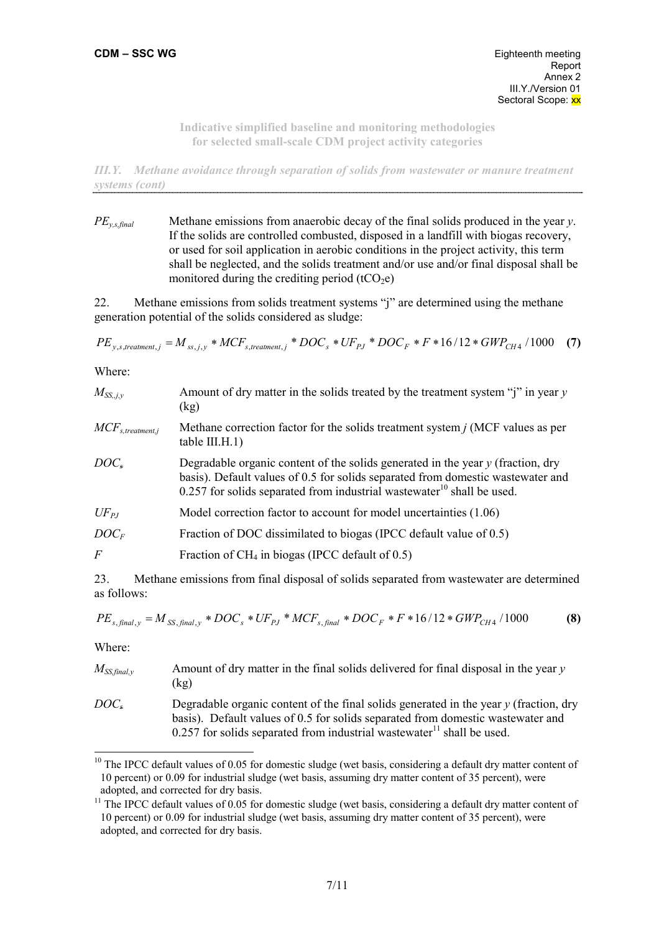*III.Y. Methane avoidance through separation of solids from wastewater or manure treatment systems (cont)* 

*PEy,s,final* Methane emissions from anaerobic decay of the final solids produced in the year *y*. If the solids are controlled combusted, disposed in a landfill with biogas recovery, or used for soil application in aerobic conditions in the project activity, this term shall be neglected, and the solids treatment and/or use and/or final disposal shall be monitored during the crediting period  $(tCO<sub>2</sub>e)$ 

22. Methane emissions from solids treatment systems "j" are determined using the methane generation potential of the solids considered as sludge:

 $PE_{y,s,treatment,j} = M_{ss,j,y} * MCF_{s,treatment,j} * DOC_{s} * UF_{pJ} * DOC_{F} * F * 16/12 * GWP_{CH4}/1000$  (7)

Where:

| Amount of dry matter in the solids treated by the treatment system " $i$ " in year y<br>(kg)                                                                                                                                                                 |
|--------------------------------------------------------------------------------------------------------------------------------------------------------------------------------------------------------------------------------------------------------------|
| Methane correction factor for the solids treatment system $j$ (MCF values as per<br>table III.H.1)                                                                                                                                                           |
| Degradable organic content of the solids generated in the year $y$ (fraction, dry<br>basis). Default values of 0.5 for solids separated from domestic wastewater and<br>$0.257$ for solids separated from industrial wastewater <sup>10</sup> shall be used. |
| Model correction factor to account for model uncertainties (1.06)                                                                                                                                                                                            |
| Fraction of DOC dissimilated to biogas (IPCC default value of 0.5)                                                                                                                                                                                           |
| Fraction of $CH_4$ in biogas (IPCC default of 0.5)                                                                                                                                                                                                           |
|                                                                                                                                                                                                                                                              |

23. Methane emissions from final disposal of solids separated from wastewater are determined as follows:

$$
PE_{s, final, y} = M_{SS, final, y} * DOC_s * UF_{PJ} * MCF_{s, final} * DOC_F * F * 16/12 * GWP_{CH4}/1000
$$
 (8)

Where:

| $M_{SS,final,v}$ | Amount of dry matter in the final solids delivered for final disposal in the year $\nu$<br>(kg)                                                                                                                                                                         |
|------------------|-------------------------------------------------------------------------------------------------------------------------------------------------------------------------------------------------------------------------------------------------------------------------|
| $DOC_{*}$        | Degradable organic content of the final solids generated in the year $\gamma$ (fraction, dry<br>basis). Default values of 0.5 for solids separated from domestic wastewater and<br>$0.257$ for solids separated from industrial wastewater <sup>11</sup> shall be used. |

<sup>&</sup>lt;sup>10</sup> The IPCC default values of 0.05 for domestic sludge (wet basis, considering a default dry matter content of 10 percent) or 0.09 for industrial sludge (wet basis, assuming dry matter content of 35 percent), were adopted, and corrected for dry basis.

 $11$  The IPCC default values of 0.05 for domestic sludge (wet basis, considering a default dry matter content of 10 percent) or 0.09 for industrial sludge (wet basis, assuming dry matter content of 35 percent), were adopted, and corrected for dry basis.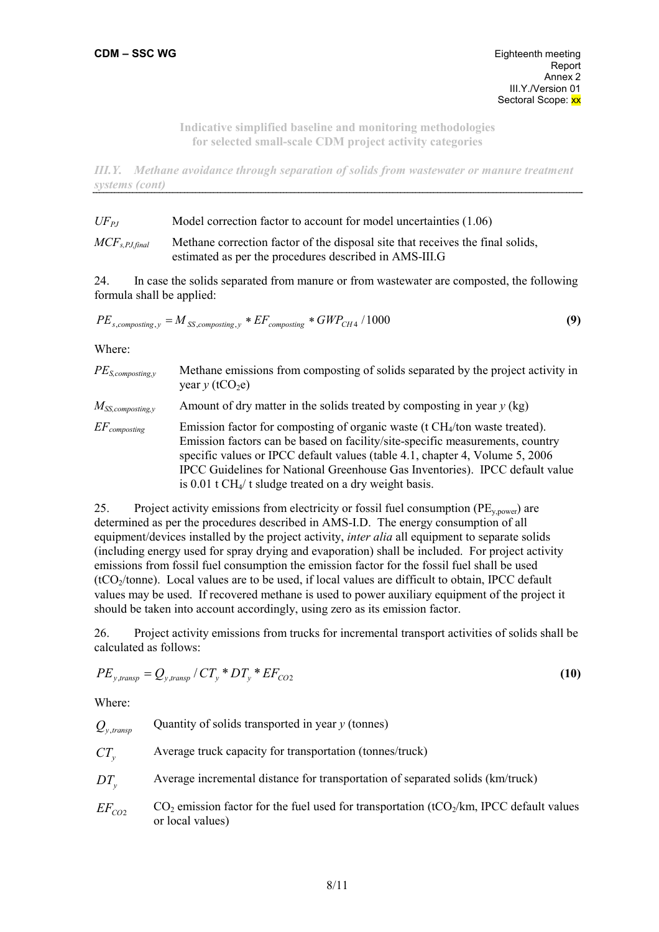*III.Y. Methane avoidance through separation of solids from wastewater or manure treatment systems (cont)* 

| $UF_{PI}$          | Model correction factor to account for model uncertainties (1.06)              |
|--------------------|--------------------------------------------------------------------------------|
| $MCF_{s.PJ,final}$ | Methane correction factor of the disposal site that receives the final solids, |
|                    | estimated as per the procedures described in AMS-III.G                         |

24. In case the solids separated from manure or from wastewater are composted, the following formula shall be applied:

$$
PE_{s,composing, y} = M_{SS,composing, y} * EF_{composing} * GWP_{CH4} / 1000
$$
\n(9)

Where:

| $PE_{S,composing, y}$  | Methane emissions from composting of solids separated by the project activity in<br>year $y$ (tCO <sub>2</sub> e)                                                                                                                                                                                                                                                                                                    |
|------------------------|----------------------------------------------------------------------------------------------------------------------------------------------------------------------------------------------------------------------------------------------------------------------------------------------------------------------------------------------------------------------------------------------------------------------|
| $M_{SS, composing, y}$ | Amount of dry matter in the solids treated by composting in year $y$ (kg)                                                                                                                                                                                                                                                                                                                                            |
| $EF_{composing}$       | Emission factor for composting of organic waste ( $t$ CH <sub>4</sub> /ton waste treated).<br>Emission factors can be based on facility/site-specific measurements, country<br>specific values or IPCC default values (table 4.1, chapter 4, Volume 5, 2006)<br>IPCC Guidelines for National Greenhouse Gas Inventories). IPCC default value<br>is $0.01$ t CH <sub>4</sub> /t sludge treated on a dry weight basis. |

25. Project activity emissions from electricity or fossil fuel consumption ( $PE_{v,power}$ ) are determined as per the procedures described in AMS-I.D. The energy consumption of all equipment/devices installed by the project activity, *inter alia* all equipment to separate solids (including energy used for spray drying and evaporation) shall be included. For project activity emissions from fossil fuel consumption the emission factor for the fossil fuel shall be used  $(tCO<sub>2</sub>/tonne)$ . Local values are to be used, if local values are difficult to obtain, IPCC default values may be used. If recovered methane is used to power auxiliary equipment of the project it should be taken into account accordingly, using zero as its emission factor.

26. Project activity emissions from trucks for incremental transport activities of solids shall be calculated as follows:

$$
PE_{y,transp} = Q_{y,transp} / CT_{y} * DT_{y} * EF_{CO2}
$$
\n
$$
(10)
$$

Where:

 $Q_{y, transp}$  Quantity of solids transported in year *y* (tonnes)

*CT*<sub>y</sub> Average truck capacity for transportation (tonnes/truck)

*DT*<sub>y</sub> Average incremental distance for transportation of separated solids (km/truck)

 $EF_{CO2}$  CO<sub>2</sub> emission factor for the fuel used for transportation (tCO<sub>2</sub>/km, IPCC default values or local values)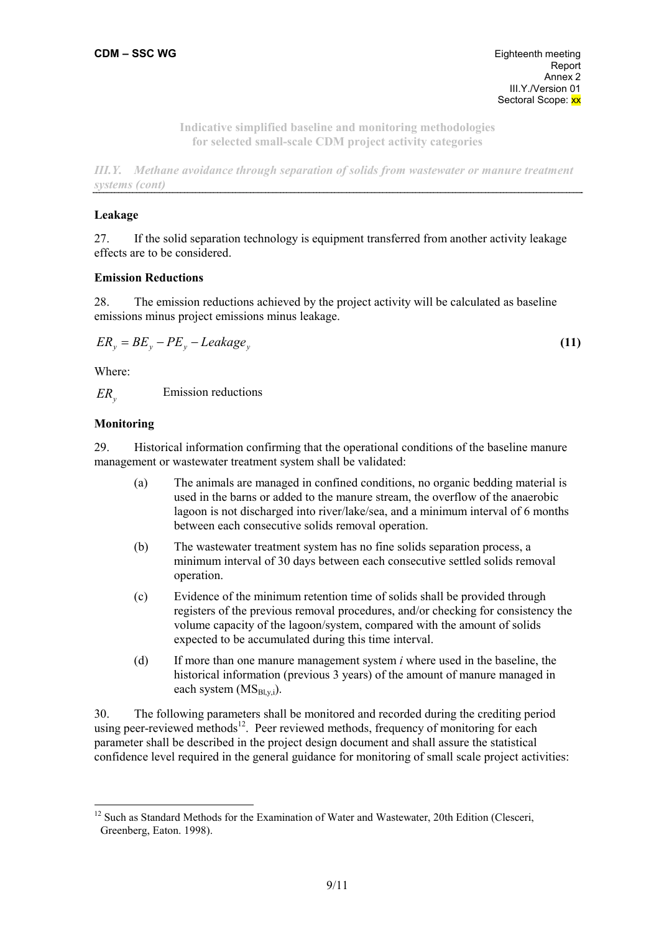*III.Y. Methane avoidance through separation of solids from wastewater or manure treatment systems (cont)* 

## **Leakage**

27. If the solid separation technology is equipment transferred from another activity leakage effects are to be considered.

## **Emission Reductions**

28. The emission reductions achieved by the project activity will be calculated as baseline emissions minus project emissions minus leakage.

$$
ER_y = BE_y - PE_y - Leakage_y \tag{11}
$$

Where:

 $ER<sub>1</sub>$ Emission reductions

## **Monitoring**

29. Historical information confirming that the operational conditions of the baseline manure management or wastewater treatment system shall be validated:

- (a) The animals are managed in confined conditions, no organic bedding material is used in the barns or added to the manure stream, the overflow of the anaerobic lagoon is not discharged into river/lake/sea, and a minimum interval of 6 months between each consecutive solids removal operation.
- (b) The wastewater treatment system has no fine solids separation process, a minimum interval of 30 days between each consecutive settled solids removal operation.
- (c) Evidence of the minimum retention time of solids shall be provided through registers of the previous removal procedures, and/or checking for consistency the volume capacity of the lagoon/system, compared with the amount of solids expected to be accumulated during this time interval.
- (d) If more than one manure management system *i* where used in the baseline, the historical information (previous 3 years) of the amount of manure managed in each system  $(MS_{Bly,i})$ .

30. The following parameters shall be monitored and recorded during the crediting period using peer-reviewed methods<sup>12</sup>. Peer reviewed methods, frequency of monitoring for each parameter shall be described in the project design document and shall assure the statistical confidence level required in the general guidance for monitoring of small scale project activities:

<sup>&</sup>lt;sup>12</sup> Such as Standard Methods for the Examination of Water and Wastewater, 20th Edition (Clesceri, Greenberg, Eaton. 1998).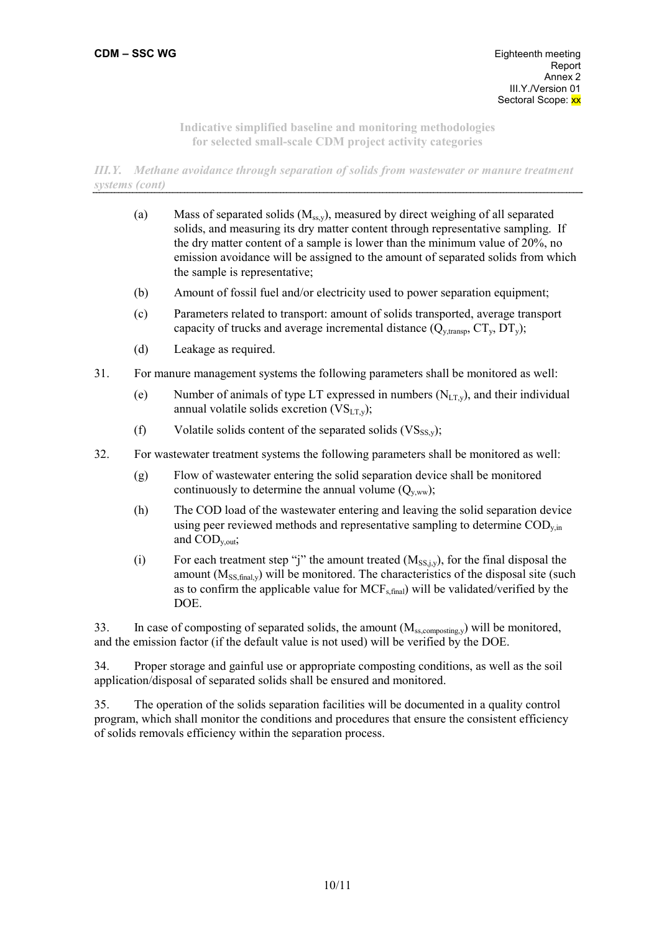*III.Y. Methane avoidance through separation of solids from wastewater or manure treatment systems (cont)* 

- (a) Mass of separated solids  $(M_{ss,y})$ , measured by direct weighing of all separated solids, and measuring its dry matter content through representative sampling. If the dry matter content of a sample is lower than the minimum value of 20%, no emission avoidance will be assigned to the amount of separated solids from which the sample is representative;
- (b) Amount of fossil fuel and/or electricity used to power separation equipment;
- (c) Parameters related to transport: amount of solids transported, average transport capacity of trucks and average incremental distance  $(Q_{v,transp}, CT_{v}, DT_{v});$
- (d) Leakage as required.
- 31. For manure management systems the following parameters shall be monitored as well:
	- (e) Number of animals of type LT expressed in numbers  $(N_{LT}$ <sub>y</sub>), and their individual annual volatile solids excretion  $(VS<sub>LT,y</sub>)$ ;
	- (f) Volatile solids content of the separated solids  $(VS_{SSv})$ ;
- 32. For wastewater treatment systems the following parameters shall be monitored as well:
	- (g) Flow of wastewater entering the solid separation device shall be monitored continuously to determine the annual volume  $(Q_{v,ww})$ ;
	- (h) The COD load of the wastewater entering and leaving the solid separation device using peer reviewed methods and representative sampling to determine  $\text{COD}_{\text{v,in}}$ and  $\text{COD}_{\text{v out}}$ ;
	- (i) For each treatment step "j" the amount treated  $(M_{SS,i,v})$ , for the final disposal the amount  $(M_{SS,final,y})$  will be monitored. The characteristics of the disposal site (such as to confirm the applicable value for  $MCF_{s,final}$ ) will be validated/verified by the DOE.

33. In case of composting of separated solids, the amount (M<sub>ss,composting,y</sub>) will be monitored, and the emission factor (if the default value is not used) will be verified by the DOE.

34. Proper storage and gainful use or appropriate composting conditions, as well as the soil application/disposal of separated solids shall be ensured and monitored.

35. The operation of the solids separation facilities will be documented in a quality control program, which shall monitor the conditions and procedures that ensure the consistent efficiency of solids removals efficiency within the separation process.